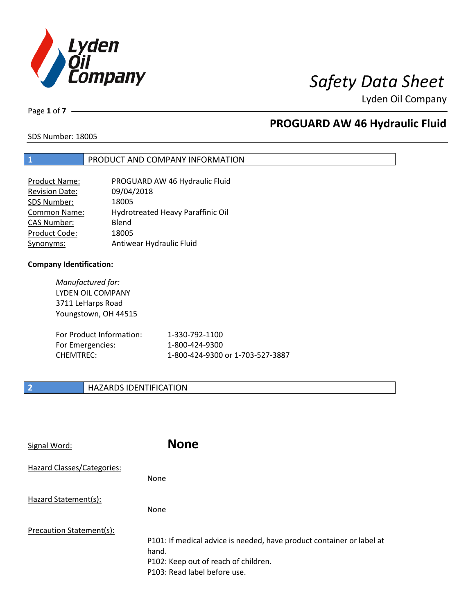

Lyden Oil Company

Page **1** of **7**

## **PROGUARD AW 46 Hydraulic Fluid**

SDS Number: 18005

### **1** PRODUCT AND COMPANY INFORMATION

| <b>Product Name:</b>  | PROGUARD AW 46 Hydraulic Fluid    |
|-----------------------|-----------------------------------|
| <b>Revision Date:</b> | 09/04/2018                        |
| SDS Number:           | 18005                             |
| Common Name:          | Hydrotreated Heavy Paraffinic Oil |
| <b>CAS Number:</b>    | Blend                             |
| Product Code:         | 18005                             |
| Synonyms:             | Antiwear Hydraulic Fluid          |

#### **Company Identification:**

*Manufactured for:*  LYDEN OIL COMPANY 3711 LeHarps Road Youngstown, OH 44515

| For Product Information: | 1-330-792-1100                   |
|--------------------------|----------------------------------|
| For Emergencies:         | 1-800-424-9300                   |
| CHEMTREC:                | 1-800-424-9300 or 1-703-527-3887 |

### **2 HAZARDS IDENTIFICATION**

| Signal Word:               | <b>None</b>                                                                                                                                            |
|----------------------------|--------------------------------------------------------------------------------------------------------------------------------------------------------|
| Hazard Classes/Categories: | <b>None</b>                                                                                                                                            |
| Hazard Statement(s):       | <b>None</b>                                                                                                                                            |
| Precaution Statement(s):   | P101: If medical advice is needed, have product container or label at<br>hand.<br>P102: Keep out of reach of children.<br>P103: Read label before use. |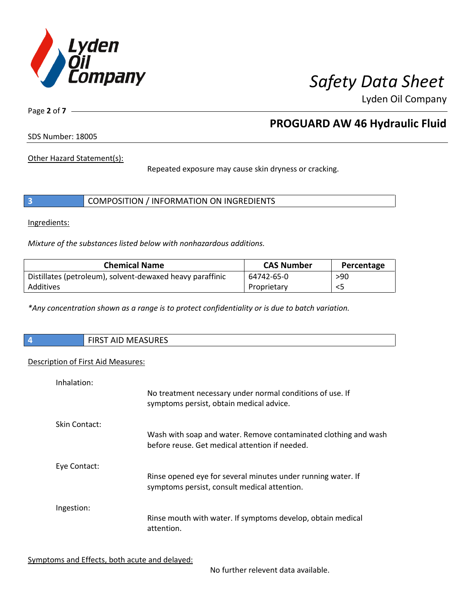

Lyden Oil Company

Page **2** of **7**

## **PROGUARD AW 46 Hydraulic Fluid**

SDS Number: 18005

Other Hazard Statement(s):

Repeated exposure may cause skin dryness or cracking.

|  | COMPOSITION / INFORMATION ON INGREDIENTS |  |
|--|------------------------------------------|--|
|--|------------------------------------------|--|

Ingredients:

*Mixture of the substances listed below with nonhazardous additions.*

| <b>Chemical Name</b>                                      | <b>CAS Number</b> | Percentage |
|-----------------------------------------------------------|-------------------|------------|
| Distillates (petroleum), solvent-dewaxed heavy paraffinic | 64742-65-0        | >90        |
| Additives                                                 | Proprietary       |            |

*\*Any concentration shown as a range is to protect confidentiality or is due to batch variation.*

| $\overline{4}$ | <b>AACACURECT</b><br>$\sim$ close $\sim$<br>T AID MEASURES<br>כחו |
|----------------|-------------------------------------------------------------------|
|                |                                                                   |

#### Description of First Aid Measures:

| Inhalation:   | No treatment necessary under normal conditions of use. If<br>symptoms persist, obtain medical advice.             |
|---------------|-------------------------------------------------------------------------------------------------------------------|
| Skin Contact: | Wash with soap and water. Remove contaminated clothing and wash<br>before reuse. Get medical attention if needed. |
| Eye Contact:  | Rinse opened eye for several minutes under running water. If<br>symptoms persist, consult medical attention.      |
| Ingestion:    | Rinse mouth with water. If symptoms develop, obtain medical<br>attention.                                         |

Symptoms and Effects, both acute and delayed:

No further relevent data available.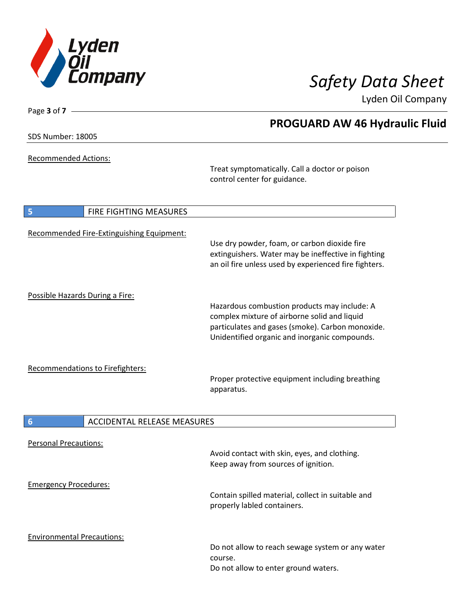

Lyden Oil Company

SDS Number: 18005

Page **3** of **7**

Recommended Actions:

Treat symptomatically. Call a doctor or poison control center for guidance.

| FIRE FIGHTING MEASURES<br>5               |                                                                                                                                                                                                   |
|-------------------------------------------|---------------------------------------------------------------------------------------------------------------------------------------------------------------------------------------------------|
| Recommended Fire-Extinguishing Equipment: | Use dry powder, foam, or carbon dioxide fire<br>extinguishers. Water may be ineffective in fighting<br>an oil fire unless used by experienced fire fighters.                                      |
| Possible Hazards During a Fire:           | Hazardous combustion products may include: A<br>complex mixture of airborne solid and liquid<br>particulates and gases (smoke). Carbon monoxide.<br>Unidentified organic and inorganic compounds. |
| <b>Recommendations to Firefighters:</b>   | Proper protective equipment including breathing<br>apparatus.                                                                                                                                     |
| 6<br><b>ACCIDENTAL RELEASE MEASURES</b>   |                                                                                                                                                                                                   |
| <b>Personal Precautions:</b>              | Avoid contact with skin, eyes, and clothing.<br>Keep away from sources of ignition.                                                                                                               |
| <b>Emergency Procedures:</b>              | Contain spilled material, collect in suitable and<br>properly labled containers.                                                                                                                  |
| <b>Environmental Precautions:</b>         | Do not allow to reach sewage system or any water<br>course.<br>Do not allow to enter ground waters.                                                                                               |

## **PROGUARD AW 46 Hydraulic Fluid**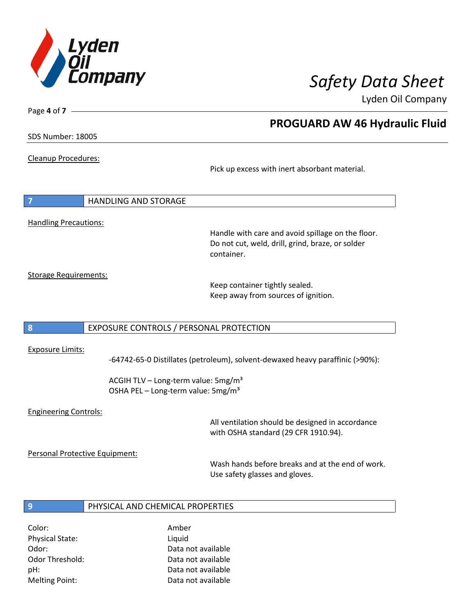

Lyden Oil Company

Page **4** of **7**

### **PROGUARD AW 46 Hydraulic Fluid**

SDS Number: 18005

Cleanup Procedures:

Pick up excess with inert absorbant material.

| $\overline{7}$               | HANDLING AND STORAGE |
|------------------------------|----------------------|
|                              |                      |
| <b>Handling Precautions:</b> |                      |

Handle with care and avoid spillage on the floor. Do not cut, weld, drill, grind, braze, or solder container.

Storage Requirements:

Keep container tightly sealed. Keep away from sources of ignition.

#### **8** EXPOSURE CONTROLS / PERSONAL PROTECTION

#### Exposure Limits:

-64742-65-0 Distillates (petroleum), solvent-dewaxed heavy paraffinic (>90%):

ACGIH TLV – Long-term value: 5mg/m<sup>3</sup> OSHA PEL - Long-term value: 5mg/m<sup>3</sup>

#### Engineering Controls:

All ventilation should be designed in accordance with OSHA standard (29 CFR 1910.94).

Personal Protective Equipment:

Wash hands before breaks and at the end of work. Use safety glasses and gloves.

#### **9** PHYSICAL AND CHEMICAL PROPERTIES

Color: Amber Physical State: Liquid

Odor: Data not available Odor Threshold: Data not available pH: Data not available Melting Point: Data not available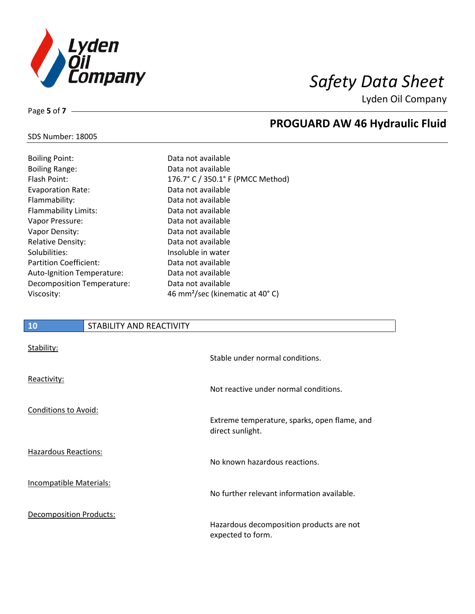

Lyden Oil Company

Page **5** of **7**

# **PROGUARD AW 46 Hydraulic Fluid**

### SDS Number: 18005

| <b>Boiling Point:</b>         | Data not available                          |
|-------------------------------|---------------------------------------------|
| <b>Boiling Range:</b>         | Data not available                          |
| Flash Point:                  | 176.7° C / 350.1° F (PMCC Method)           |
| <b>Evaporation Rate:</b>      | Data not available                          |
| Flammability:                 | Data not available                          |
| Flammability Limits:          | Data not available                          |
| Vapor Pressure:               | Data not available                          |
| Vapor Density:                | Data not available                          |
| <b>Relative Density:</b>      | Data not available                          |
| Solubilities:                 | Insoluble in water                          |
| <b>Partition Coefficient:</b> | Data not available                          |
| Auto-Ignition Temperature:    | Data not available                          |
| Decomposition Temperature:    | Data not available                          |
| Viscosity:                    | 46 mm <sup>2</sup> /sec (kinematic at 40°C) |

# **10** STABILITY AND REACTIVITY Stability:

|                                | Stable under normal conditions.                                  |
|--------------------------------|------------------------------------------------------------------|
| Reactivity:                    | Not reactive under normal conditions.                            |
| <b>Conditions to Avoid:</b>    |                                                                  |
|                                | Extreme temperature, sparks, open flame, and<br>direct sunlight. |
| Hazardous Reactions:           | No known hazardous reactions.                                    |
| <b>Incompatible Materials:</b> | No further relevant information available.                       |
| <b>Decomposition Products:</b> | Hazardous decomposition products are not                         |
|                                | expected to form.                                                |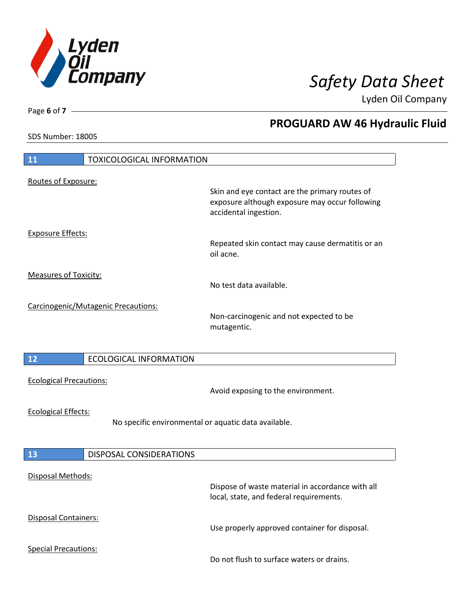

**PROGUARD AW 46 Hydraulic Fluid** 

Lyden Oil Company

SDS Number: 18005

Page **6** of **7**

| 11<br><b>TOXICOLOGICAL INFORMATION</b>                                             |                                     |                                                                                                  |
|------------------------------------------------------------------------------------|-------------------------------------|--------------------------------------------------------------------------------------------------|
| Routes of Exposure:                                                                |                                     | Skin and eye contact are the primary routes of<br>exposure although exposure may occur following |
| <b>Exposure Effects:</b>                                                           |                                     | accidental ingestion.<br>Repeated skin contact may cause dermatitis or an<br>oil acne.           |
| <b>Measures of Toxicity:</b>                                                       |                                     | No test data available.                                                                          |
|                                                                                    | Carcinogenic/Mutagenic Precautions: | Non-carcinogenic and not expected to be<br>mutagentic.                                           |
| 12                                                                                 | <b>ECOLOGICAL INFORMATION</b>       |                                                                                                  |
| <b>Ecological Precautions:</b>                                                     |                                     | Avoid exposing to the environment.                                                               |
| <b>Ecological Effects:</b><br>No specific environmental or aquatic data available. |                                     |                                                                                                  |
| 13                                                                                 | <b>DISPOSAL CONSIDERATIONS</b>      |                                                                                                  |
| Disposal Methods:                                                                  |                                     | Dispose of waste material in accordance with all<br>local, state, and federal requirements.      |
| Disposal Containers:                                                               |                                     | Use properly approved container for disposal.                                                    |
| <b>Special Precautions:</b>                                                        |                                     | Do not flush to surface waters or drains.                                                        |